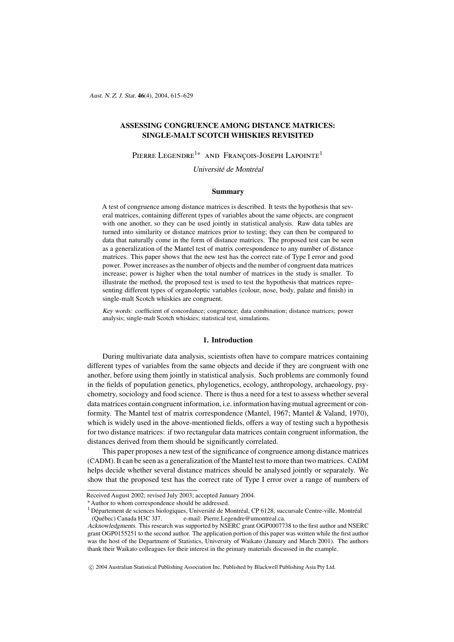# **ASSESSING CONGRUENCE AMONG DISTANCE MATRICES: SINGLE-MALT SCOTCH WHISKIES REVISITED**

PIERRE LEGENDRE<sup>1</sup><sup>\*</sup> AND FRANCOIS-JOSEPH LAPOINTE<sup>1</sup>

Université de Montréal

#### **Summary**

A test of congruence among distance matrices is described. It tests the hypothesis that several matrices, containing different types of variables about the same objects, are congruent with one another, so they can be used jointly in statistical analysis. Raw data tables are turned into similarity or distance matrices prior to testing; they can then be compared to data that naturally come in the form of distance matrices. The proposed test can be seen as a generalization of the Mantel test of matrix correspondence to any number of distance matrices. This paper shows that the new test has the correct rate of Type I error and good power. Power increases as the number of objects and the number of congruent data matrices increase; power is higher when the total number of matrices in the study is smaller. To illustrate the method, the proposed test is used to test the hypothesis that matrices representing different types of organoleptic variables (colour, nose, body, palate and finish) in single-malt Scotch whiskies are congruent.

Key words: coefficient of concordance; congruence; data combination; distance matrices; power analysis; single-malt Scotch whiskies; statistical test, simulations.

#### **1. Introduction**

During multivariate data analysis, scientists often have to compare matrices containing different types of variables from the same objects and decide if they are congruent with one another, before using them jointly in statistical analysis. Such problems are commonly found in the fields of population genetics, phylogenetics, ecology, anthropology, archaeology, psychometry, sociology and food science. There is thus a need for a test to assess whether several data matrices contain congruent information, i.e. information having mutual agreement or conformity. The Mantel test of matrix correspondence (Mantel, 1967; Mantel & Valand, 1970), which is widely used in the above-mentioned fields, offers a way of testing such a hypothesis for two distance matrices: if two rectangular data matrices contain congruent information, the distances derived from them should be significantly correlated.

This paper proposes a new test of the significance of congruence among distance matrices (CADM). It can be seen as a generalization of the Mantel test to more than two matrices. CADM helps decide whether several distance matrices should be analysed jointly or separately. We show that the proposed test has the correct rate of Type I error over a range of numbers of

Received August 2002; revised July 2003; accepted January 2004.

<sup>∗</sup>Author to whom correspondence should be addressed.

<sup>&</sup>lt;sup>1</sup> Département de sciences biologiques, Université de Montréal, CP 6128, succursale Centre-ville, Montréal (Qu´ebec) Canada H3C 3J7. e-mail: Pierre.Legendre@umontreal.ca.

Acknowledgments. This research was supported by NSERC grant OGP0007738 to the first author and NSERC grant OGP0155251 to the second author. The application portion of this paper was written while the first author was the host of the Department of Statistics, University of Waikato (January and March 2001). The authors thank their Waikato colleagues for their interest in the primary materials discussed in the example.

<sup>-</sup>c 2004 Australian Statistical Publishing Association Inc. Published by Blackwell Publishing Asia Pty Ltd.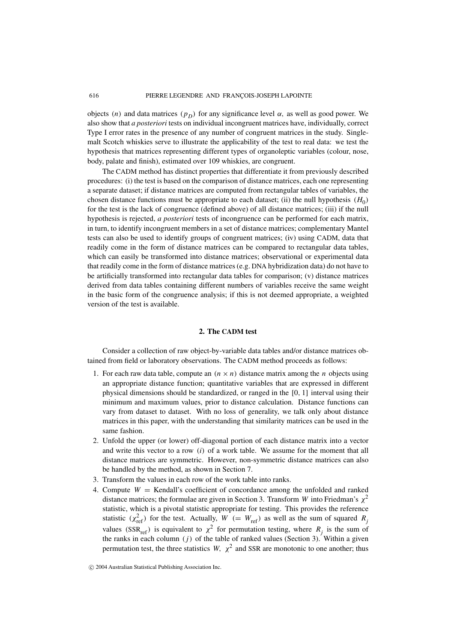objects (*n*) and data matrices ( $p<sub>D</sub>$ ) for any significance level α, as well as good power. We also show that *a posteriori* tests on individual incongruent matrices have, individually, correct Type I error rates in the presence of any number of congruent matrices in the study. Singlemalt Scotch whiskies serve to illustrate the applicability of the test to real data: we test the hypothesis that matrices representing different types of organoleptic variables (colour, nose, body, palate and finish), estimated over 109 whiskies, are congruent.

The CADM method has distinct properties that differentiate it from previously described procedures: (i) the test is based on the comparison of distance matrices, each one representing a separate dataset; if distance matrices are computed from rectangular tables of variables, the chosen distance functions must be appropriate to each dataset; (ii) the null hypothesis  $(H_0)$ for the test is the lack of congruence (defined above) of all distance matrices; (iii) if the null hypothesis is rejected, *a posteriori* tests of incongruence can be performed for each matrix, in turn, to identify incongruent members in a set of distance matrices; complementary Mantel tests can also be used to identify groups of congruent matrices; (iv) using CADM, data that readily come in the form of distance matrices can be compared to rectangular data tables, which can easily be transformed into distance matrices; observational or experimental data that readily come in the form of distance matrices (e.g. DNA hybridization data) do not have to be artificially transformed into rectangular data tables for comparison; (v) distance matrices derived from data tables containing different numbers of variables receive the same weight in the basic form of the congruence analysis; if this is not deemed appropriate, a weighted version of the test is available.

#### **2. The CADM test**

Consider a collection of raw object-by-variable data tables and/or distance matrices obtained from field or laboratory observations. The CADM method proceeds as follows:

- 1. For each raw data table, compute an  $(n \times n)$  distance matrix among the *n* objects using an appropriate distance function; quantitative variables that are expressed in different physical dimensions should be standardized, or ranged in the [0, 1] interval using their minimum and maximum values, prior to distance calculation. Distance functions can vary from dataset to dataset. With no loss of generality, we talk only about distance matrices in this paper, with the understanding that similarity matrices can be used in the same fashion.
- 2. Unfold the upper (or lower) off-diagonal portion of each distance matrix into a vector and write this vector to a row  $(i)$  of a work table. We assume for the moment that all distance matrices are symmetric. However, non-symmetric distance matrices can also be handled by the method, as shown in Section 7.
- 3. Transform the values in each row of the work table into ranks.
- 4. Compute  $W =$  Kendall's coefficient of concordance among the unfolded and ranked distance matrices; the formulae are given in Section 3. Transform W into Friedman's  $\chi^2$ statistic, which is a pivotal statistic appropriate for testing. This provides the reference statistic  $(\chi^2_{\text{ref}})$  for the test. Actually,  $W = W_{\text{ref}}$  as well as the sum of squared  $R_j$ values (SSR<sub>ref</sub>) is equivalent to  $\chi^2$  for permutation testing, where  $R_i$  is the sum of the ranks in each column  $(j)$  of the table of ranked values (Section 3). Within a given permutation test, the three statistics W,  $\chi^2$  and SSR are monotonic to one another; thus

 $\odot$  2004 Australian Statistical Publishing Association Inc.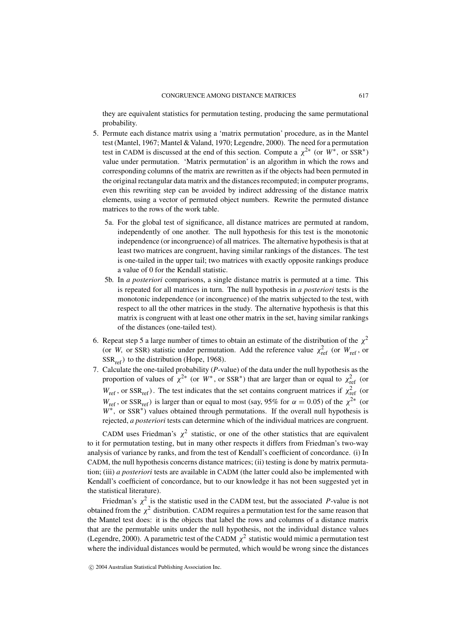they are equivalent statistics for permutation testing, producing the same permutational probability.

- 5. Permute each distance matrix using a 'matrix permutation' procedure, as in the Mantel test (Mantel, 1967; Mantel & Valand, 1970; Legendre, 2000). The need for a permutation test in CADM is discussed at the end of this section. Compute a  $\chi^{2*}$  (or  $W^*$ , or SSR<sup>\*</sup>) value under permutation. 'Matrix permutation' is an algorithm in which the rows and corresponding columns of the matrix are rewritten as if the objects had been permuted in the original rectangular data matrix and the distances recomputed; in computer programs, even this rewriting step can be avoided by indirect addressing of the distance matrix elements, using a vector of permuted object numbers. Rewrite the permuted distance matrices to the rows of the work table.
	- 5a. For the global test of significance, all distance matrices are permuted at random, independently of one another. The null hypothesis for this test is the monotonic independence (or incongruence) of all matrices. The alternative hypothesis is that at least two matrices are congruent, having similar rankings of the distances. The test is one-tailed in the upper tail; two matrices with exactly opposite rankings produce a value of 0 for the Kendall statistic.
	- 5b. In *a posteriori* comparisons, a single distance matrix is permuted at a time. This is repeated for all matrices in turn. The null hypothesis in *a posteriori* tests is the monotonic independence (or incongruence) of the matrix subjected to the test, with respect to all the other matrices in the study. The alternative hypothesis is that this matrix is congruent with at least one other matrix in the set, having similar rankings of the distances (one-tailed test).
- 6. Repeat step 5 a large number of times to obtain an estimate of the distribution of the  $\chi^2$ (or W, or SSR) statistic under permutation. Add the reference value  $\chi^2_{\text{ref}}$  (or  $W_{\text{ref}}$ , or  $SSR_{ref}$ ) to the distribution (Hope, 1968).
- 7. Calculate the one-tailed probability (*P*-value) of the data under the null hypothesis as the proportion of values of  $\chi^{2*}$  (or  $W^*$ , or SSR<sup>\*</sup>) that are larger than or equal to  $\chi^2_{\text{ref}}$  (or  $W_{\text{ref}}$ , or SSR<sub>ref</sub>). The test indicates that the set contains congruent matrices if  $\chi_{\text{ref}}^2$  (or  $W_{ref}$ , or SSR<sub>ref</sub>) is larger than or equal to most (say, 95% for  $\alpha = 0.05$ ) of the  $\chi^{2*}$  (or W<sup>∗</sup>, or SSR<sup>∗</sup>) values obtained through permutations. If the overall null hypothesis is rejected, *a posteriori* tests can determine which of the individual matrices are congruent.

CADM uses Friedman's  $\chi^2$  statistic, or one of the other statistics that are equivalent to it for permutation testing, but in many other respects it differs from Friedman's two-way analysis of variance by ranks, and from the test of Kendall's coefficient of concordance. (i) In CADM, the null hypothesis concerns distance matrices; (ii) testing is done by matrix permutation; (iii) *a posteriori* tests are available in CADM (the latter could also be implemented with Kendall's coefficient of concordance, but to our knowledge it has not been suggested yet in the statistical literature).

Friedman's  $\chi^2$  is the statistic used in the CADM test, but the associated P-value is not obtained from the  $\chi^2$  distribution. CADM requires a permutation test for the same reason that the Mantel test does: it is the objects that label the rows and columns of a distance matrix that are the permutable units under the null hypothesis, not the individual distance values (Legendre, 2000). A parametric test of the CADM  $\chi^2$  statistic would mimic a permutation test where the individual distances would be permuted, which would be wrong since the distances

 $\odot$  2004 Australian Statistical Publishing Association Inc.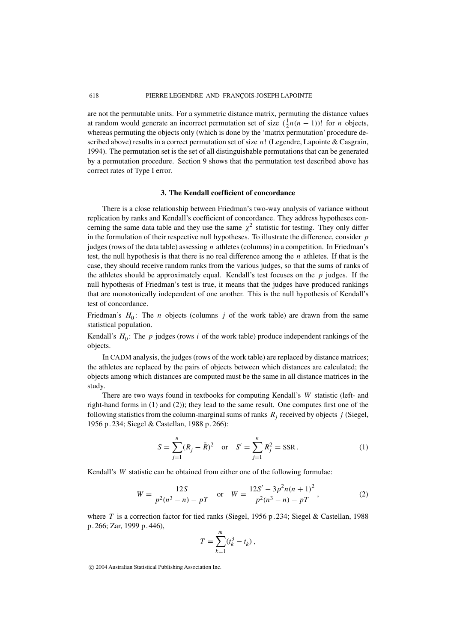are not the permutable units. For a symmetric distance matrix, permuting the distance values at random would generate an incorrect permutation set of size  $(\frac{1}{2}n(n-1))!$  for *n* objects, whereas permuting the objects only (which is done by the 'matrix permutation' procedure described above) results in a correct permutation set of size n! (Legendre, Lapointe & Casgrain, 1994). The permutation set is the set of all distinguishable permutations that can be generated by a permutation procedure. Section 9 shows that the permutation test described above has correct rates of Type I error.

### **3. The Kendall coefficient of concordance**

There is a close relationship between Friedman's two-way analysis of variance without replication by ranks and Kendall's coefficient of concordance. They address hypotheses concerning the same data table and they use the same  $\chi^2$  statistic for testing. They only differ in the formulation of their respective null hypotheses. To illustrate the difference, consider  $p$ judges (rows of the data table) assessing n athletes (columns) in a competition. In Friedman's test, the null hypothesis is that there is no real difference among the  $n$  athletes. If that is the case, they should receive random ranks from the various judges, so that the sums of ranks of the athletes should be approximately equal. Kendall's test focuses on the  $p$  judges. If the null hypothesis of Friedman's test is true, it means that the judges have produced rankings that are monotonically independent of one another. This is the null hypothesis of Kendall's test of concordance.

Friedman's  $H_0$ : The *n* objects (columns *j* of the work table) are drawn from the same statistical population.

Kendall's  $H_0$ : The p judges (rows i of the work table) produce independent rankings of the objects.

In CADM analysis, the judges (rows of the work table) are replaced by distance matrices; the athletes are replaced by the pairs of objects between which distances are calculated; the objects among which distances are computed must be the same in all distance matrices in the study.

There are two ways found in textbooks for computing Kendall's W statistic (left- and right-hand forms in (1) and (2)); they lead to the same result. One computes first one of the following statistics from the column-marginal sums of ranks  $R_i$  received by objects j (Siegel, 1956 p.234; Siegel & Castellan, 1988 p.266):

$$
S = \sum_{j=1}^{n} (R_j - \bar{R})^2 \quad \text{or} \quad S' = \sum_{j=1}^{n} R_j^2 = \text{SSR} \,. \tag{1}
$$

Kendall's W statistic can be obtained from either one of the following formulae:

$$
W = \frac{12S}{p^2(n^3 - n) - pT} \quad \text{or} \quad W = \frac{12S' - 3p^2n(n+1)^2}{p^2(n^3 - n) - pT},\tag{2}
$$

where T is a correction factor for tied ranks (Siegel, 1956 p. 234; Siegel & Castellan, 1988 p.266; Zar, 1999 p.446),

$$
T = \sum_{k=1}^{m} (t_k^3 - t_k) \,,
$$

 $\odot$  2004 Australian Statistical Publishing Association Inc.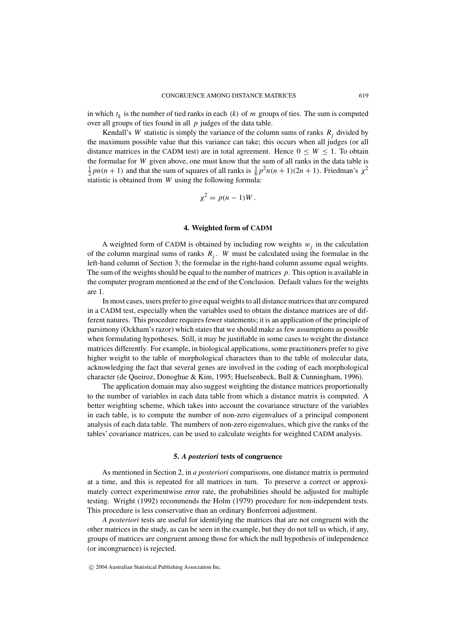in which  $t_k$  is the number of tied ranks in each  $(k)$  of m groups of ties. The sum is computed over all groups of ties found in all  $p$  judges of the data table.

Kendall's W statistic is simply the variance of the column sums of ranks  $R_i$  divided by the maximum possible value that this variance can take; this occurs when all judges (or all distance matrices in the CADM test) are in total agreement. Hence  $0 \leq W \leq 1$ . To obtain the formulae for W given above, one must know that the sum of all ranks in the data table is  $\frac{1}{2}pn(n+1)$  and that the sum of squares of all ranks is  $\frac{1}{6}p^2n(n+1)(2n+1)$ . Friedman's  $\chi^2$ statistic is obtained from W using the following formula:

$$
\chi^2 = p(n-1)W.
$$

# **4. Weighted form of CADM**

A weighted form of CADM is obtained by including row weights  $w_i$  in the calculation of the column marginal sums of ranks  $R_i$ . W must be calculated using the formulae in the left-hand column of Section 3; the formulae in the right-hand column assume equal weights. The sum of the weights should be equal to the number of matrices  $p$ . This option is available in the computer program mentioned at the end of the Conclusion. Default values for the weights are 1.

In most cases, users prefer to give equal weights to all distance matrices that are compared in a CADM test, especially when the variables used to obtain the distance matrices are of different natures. This procedure requires fewer statements; it is an application of the principle of parsimony (Ockham's razor) which states that we should make as few assumptions as possible when formulating hypotheses. Still, it may be justifiable in some cases to weight the distance matrices differently. For example, in biological applications, some practitioners prefer to give higher weight to the table of morphological characters than to the table of molecular data, acknowledging the fact that several genes are involved in the coding of each morphological character (de Queiroz, Donoghue & Kim, 1995; Huelsenbeck, Bull & Cunningham, 1996).

The application domain may also suggest weighting the distance matrices proportionally to the number of variables in each data table from which a distance matrix is computed. A better weighting scheme, which takes into account the covariance structure of the variables in each table, is to compute the number of non-zero eigenvalues of a principal component analysis of each data table. The numbers of non-zero eigenvalues, which give the ranks of the tables' covariance matrices, can be used to calculate weights for weighted CADM analysis.

## **5.** *A posteriori* **tests of congruence**

As mentioned in Section 2, in *a posteriori* comparisons, one distance matrix is permuted at a time, and this is repeated for all matrices in turn. To preserve a correct or approximately correct experimentwise error rate, the probabilities should be adjusted for multiple testing. Wright (1992) recommends the Holm (1979) procedure for non-independent tests. This procedure is less conservative than an ordinary Bonferroni adjustment.

*A posteriori* tests are useful for identifying the matrices that are not congruent with the other matrices in the study, as can be seen in the example, but they do not tell us which, if any, groups of matrices are congruent among those for which the null hypothesis of independence (or incongruence) is rejected.

 $\odot$  2004 Australian Statistical Publishing Association Inc.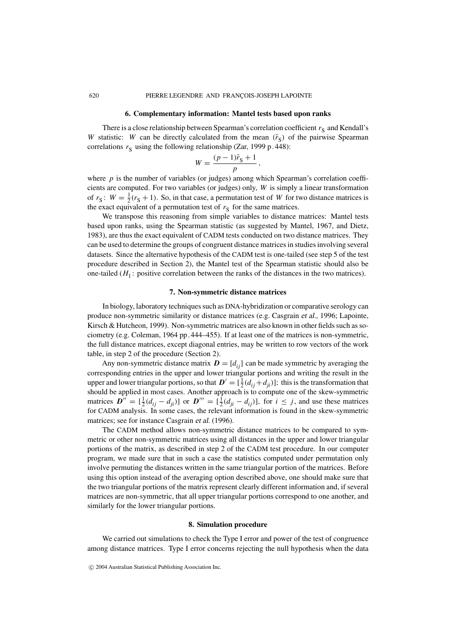### 620 PIERRE LEGENDRE AND FRANÇOIS-JOSEPH LAPOINTE

#### **6. Complementary information: Mantel tests based upon ranks**

There is a close relationship between Spearman's correlation coefficient  $r_S$  and Kendall's W statistic: W can be directly calculated from the mean  $(\bar{r}_S)$  of the pairwise Spearman correlations  $r<sub>S</sub>$  using the following relationship (Zar, 1999 p. 448):

$$
W = \frac{(p-1)\bar{r}_S + 1}{p},
$$

where  $p$  is the number of variables (or judges) among which Spearman's correlation coefficients are computed. For two variables (or judges) only, W is simply a linear transformation of  $r_S$ :  $W = \frac{1}{2}(r_S + 1)$ . So, in that case, a permutation test of W for two distance matrices is the exact equivalent of a permutation test of  $r<sub>S</sub>$  for the same matrices.

We transpose this reasoning from simple variables to distance matrices: Mantel tests based upon ranks, using the Spearman statistic (as suggested by Mantel, 1967, and Dietz, 1983), are thus the exact equivalent of CADM tests conducted on two distance matrices. They can be used to determine the groups of congruent distance matrices in studies involving several datasets. Since the alternative hypothesis of the CADM test is one-tailed (see step 5 of the test procedure described in Section 2), the Mantel test of the Spearman statistic should also be one-tailed  $(H_1:$  positive correlation between the ranks of the distances in the two matrices).

### **7. Non-symmetric distance matrices**

In biology, laboratory techniques such as DNA-hybridization or comparative serology can produce non-symmetric similarity or distance matrices (e.g. Casgrain et al., 1996; Lapointe, Kirsch & Hutcheon, 1999). Non-symmetric matrices are also known in other fields such as sociometry (e.g. Coleman, 1964 pp.444–455). If at least one of the matrices is non-symmetric, the full distance matrices, except diagonal entries, may be written to row vectors of the work table, in step 2 of the procedure (Section 2).

Any non-symmetric distance matrix  $\mathbf{D} = [d_{ij}]$  can be made symmetric by averaging the corresponding entries in the upper and lower triangular portions and writing the result in the upper and lower triangular portions, so that  $D' = [\frac{1}{2}(d_{ij} + d_{ji})]$ ; this is the transformation that should be applied in most cases. Another approach is to compute one of the skew-symmetric matrices  $\mathbf{D}^{\prime\prime} = [\frac{1}{2}(d_{ij} - d_{ji})]$  or  $\mathbf{D}^{\prime\prime\prime} = [\frac{1}{2}(d_{ji} - d_{ij})]$ , for  $i \leq j$ , and use these matrices for CADM analysis. In some cases, the relevant information is found in the skew-symmetric matrices; see for instance Casgrain et al. (1996).

The CADM method allows non-symmetric distance matrices to be compared to symmetric or other non-symmetric matrices using all distances in the upper and lower triangular portions of the matrix, as described in step 2 of the CADM test procedure. In our computer program, we made sure that in such a case the statistics computed under permutation only involve permuting the distances written in the same triangular portion of the matrices. Before using this option instead of the averaging option described above, one should make sure that the two triangular portions of the matrix represent clearly different information and, if several matrices are non-symmetric, that all upper triangular portions correspond to one another, and similarly for the lower triangular portions.

#### **8. Simulation procedure**

We carried out simulations to check the Type I error and power of the test of congruence among distance matrices. Type I error concerns rejecting the null hypothesis when the data

 $\odot$  2004 Australian Statistical Publishing Association Inc.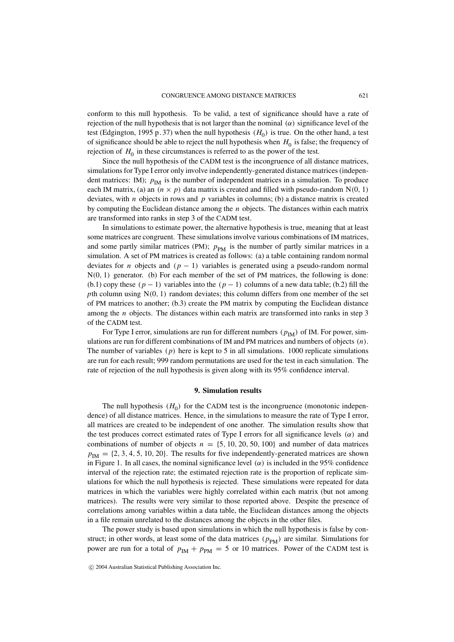conform to this null hypothesis. To be valid, a test of significance should have a rate of rejection of the null hypothesis that is not larger than the nominal  $(\alpha)$  significance level of the test (Edgington, 1995 p.37) when the null hypothesis  $(H_0)$  is true. On the other hand, a test of significance should be able to reject the null hypothesis when  $H_0$  is false; the frequency of rejection of  $H_0$  in these circumstances is referred to as the power of the test.

Since the null hypothesis of the CADM test is the incongruence of all distance matrices, simulations for Type I error only involve independently-generated distance matrices (independent matrices: IM);  $p_{\text{IM}}$  is the number of independent matrices in a simulation. To produce each IM matrix, (a) an  $(n \times p)$  data matrix is created and filled with pseudo-random N(0, 1) deviates, with *n* objects in rows and *p* variables in columns; (b) a distance matrix is created by computing the Euclidean distance among the  $n$  objects. The distances within each matrix are transformed into ranks in step 3 of the CADM test.

In simulations to estimate power, the alternative hypothesis is true, meaning that at least some matrices are congruent. These simulations involve various combinations of IM matrices, and some partly similar matrices (PM);  $p_{PM}$  is the number of partly similar matrices in a simulation. A set of PM matrices is created as follows: (a) a table containing random normal deviates for *n* objects and  $(p - 1)$  variables is generated using a pseudo-random normal N(0, 1) generator. (b) For each member of the set of PM matrices, the following is done: (b.1) copy these  $(p-1)$  variables into the  $(p-1)$  columns of a new data table; (b.2) fill the *p*th column using N(0, 1) random deviates; this column differs from one member of the set of PM matrices to another; (b.3) create the PM matrix by computing the Euclidean distance among the *n* objects. The distances within each matrix are transformed into ranks in step  $3$ of the CADM test.

For Type I error, simulations are run for different numbers  $(p_{\text{IM}})$  of IM. For power, simulations are run for different combinations of IM and PM matrices and numbers of objects (n). The number of variables ( $p$ ) here is kept to 5 in all simulations. 1000 replicate simulations are run for each result; 999 random permutations are used for the test in each simulation. The rate of rejection of the null hypothesis is given along with its 95% confidence interval.

## **9. Simulation results**

The null hypothesis  $(H_0)$  for the CADM test is the incongruence (monotonic independence) of all distance matrices. Hence, in the simulations to measure the rate of Type I error, all matrices are created to be independent of one another. The simulation results show that the test produces correct estimated rates of Type I errors for all significance levels  $(\alpha)$  and combinations of number of objects  $n = \{5, 10, 20, 50, 100\}$  and number of data matrices  $p_{\text{IM}} = \{2, 3, 4, 5, 10, 20\}$ . The results for five independently-generated matrices are shown in Figure 1. In all cases, the nominal significance level  $(\alpha)$  is included in the 95% confidence interval of the rejection rate; the estimated rejection rate is the proportion of replicate simulations for which the null hypothesis is rejected. These simulations were repeated for data matrices in which the variables were highly correlated within each matrix (but not among matrices). The results were very similar to those reported above. Despite the presence of correlations among variables within a data table, the Euclidean distances among the objects in a file remain unrelated to the distances among the objects in the other files.

The power study is based upon simulations in which the null hypothesis is false by construct; in other words, at least some of the data matrices  $(p_{PM})$  are similar. Simulations for power are run for a total of  $p_{\text{IM}} + p_{\text{PM}} = 5$  or 10 matrices. Power of the CADM test is

 $\odot$  2004 Australian Statistical Publishing Association Inc.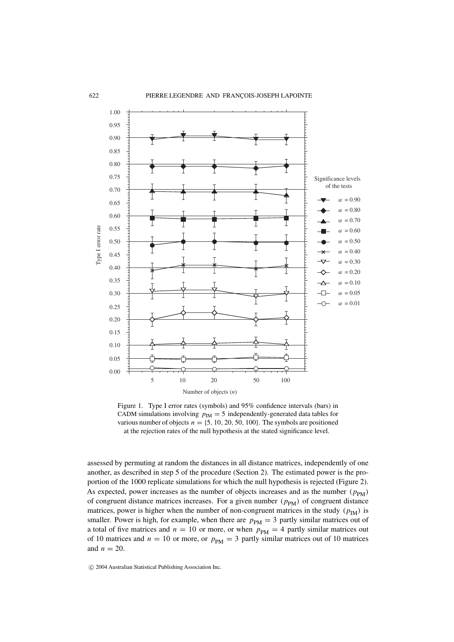

Figure 1. Type I error rates (symbols) and 95% confidence intervals (bars) in CADM simulations involving  $p_{\text{IM}} = 5$  independently-generated data tables for various number of objects  $n = \{5, 10, 20, 50, 100\}$ . The symbols are positioned at the rejection rates of the null hypothesis at the stated significance level.

assessed by permuting at random the distances in all distance matrices, independently of one another, as described in step 5 of the procedure (Section 2). The estimated power is the proportion of the 1000 replicate simulations for which the null hypothesis is rejected (Figure 2). As expected, power increases as the number of objects increases and as the number  $(p_{PM})$ of congruent distance matrices increases. For a given number  $(p_{PM})$  of congruent distance matrices, power is higher when the number of non-congruent matrices in the study  $(p_{\text{IM}})$  is smaller. Power is high, for example, when there are  $p_{PM} = 3$  partly similar matrices out of a total of five matrices and  $n = 10$  or more, or when  $p_{PM} = 4$  partly similar matrices out of 10 matrices and  $n = 10$  or more, or  $p_{PM} = 3$  partly similar matrices out of 10 matrices and  $n = 20$ .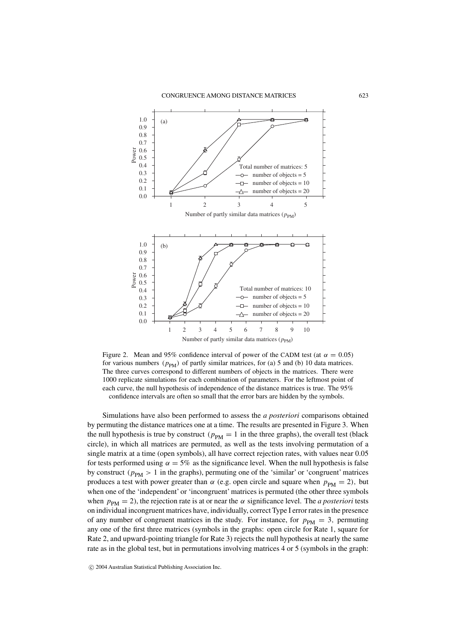

Figure 2. Mean and 95% confidence interval of power of the CADM test (at  $\alpha = 0.05$ ) for various numbers  $(p_{PM})$  of partly similar matrices, for (a) 5 and (b) 10 data matrices. The three curves correspond to different numbers of objects in the matrices. There were 1000 replicate simulations for each combination of parameters. For the leftmost point of each curve, the null hypothesis of independence of the distance matrices is true. The 95% confidence intervals are often so small that the error bars are hidden by the symbols.

Simulations have also been performed to assess the *a posteriori* comparisons obtained by permuting the distance matrices one at a time. The results are presented in Figure 3. When the null hypothesis is true by construct ( $p_{PM} = 1$  in the three graphs), the overall test (black circle), in which all matrices are permuted, as well as the tests involving permutation of a single matrix at a time (open symbols), all have correct rejection rates, with values near 0.05 for tests performed using  $\alpha = 5\%$  as the significance level. When the null hypothesis is false by construct ( $p_{PM} > 1$  in the graphs), permuting one of the 'similar' or 'congruent' matrices produces a test with power greater than  $\alpha$  (e.g. open circle and square when  $p_{PM} = 2$ ), but when one of the 'independent' or 'incongruent' matrices is permuted (the other three symbols when  $p_{PM} = 2$ ), the rejection rate is at or near the  $\alpha$  significance level. The *a posteriori* tests on individual incongruent matrices have, individually, correct Type I error rates in the presence of any number of congruent matrices in the study. For instance, for  $p_{PM} = 3$ , permuting any one of the first three matrices (symbols in the graphs: open circle for Rate 1, square for Rate 2, and upward-pointing triangle for Rate 3) rejects the null hypothesis at nearly the same rate as in the global test, but in permutations involving matrices 4 or 5 (symbols in the graph: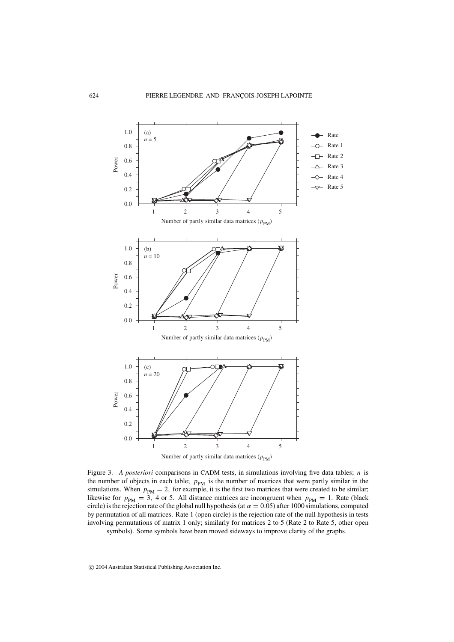

Figure 3. A posteriori comparisons in CADM tests, in simulations involving five data tables; n is the number of objects in each table;  $p_{PM}$  is the number of matrices that were partly similar in the simulations. When  $p_{PM} = 2$ , for example, it is the first two matrices that were created to be similar; likewise for  $p_{PM} = 3$ , 4 or 5. All distance matrices are incongruent when  $p_{PM} = 1$ . Rate (black circle) is the rejection rate of the global null hypothesis (at  $\alpha = 0.05$ ) after 1000 simulations, computed by permutation of all matrices. Rate 1 (open circle) is the rejection rate of the null hypothesis in tests involving permutations of matrix 1 only; similarly for matrices 2 to 5 (Rate 2 to Rate 5, other open

symbols). Some symbols have been moved sideways to improve clarity of the graphs.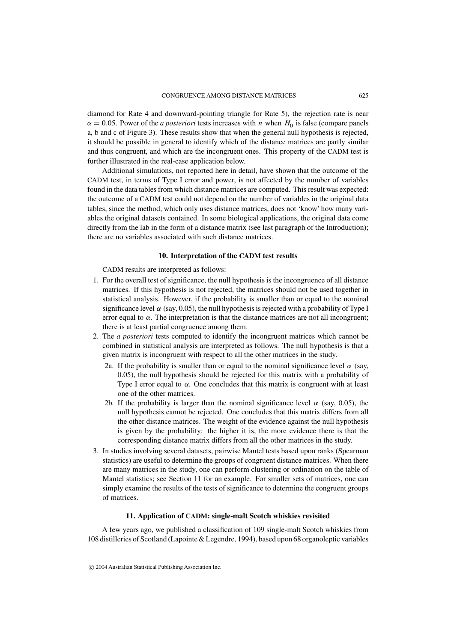diamond for Rate 4 and downward-pointing triangle for Rate 5), the rejection rate is near  $\alpha = 0.05$ . Power of the *a posteriori* tests increases with *n* when  $H_0$  is false (compare panels a, b and c of Figure 3). These results show that when the general null hypothesis is rejected, it should be possible in general to identify which of the distance matrices are partly similar and thus congruent, and which are the incongruent ones. This property of the CADM test is further illustrated in the real-case application below.

Additional simulations, not reported here in detail, have shown that the outcome of the CADM test, in terms of Type I error and power, is not affected by the number of variables found in the data tables from which distance matrices are computed. This result was expected: the outcome of a CADM test could not depend on the number of variables in the original data tables, since the method, which only uses distance matrices, does not 'know' how many variables the original datasets contained. In some biological applications, the original data come directly from the lab in the form of a distance matrix (see last paragraph of the Introduction); there are no variables associated with such distance matrices.

### **10. Interpretation of the CADM test results**

CADM results are interpreted as follows:

- 1. For the overall test of significance, the null hypothesis is the incongruence of all distance matrices. If this hypothesis is not rejected, the matrices should not be used together in statistical analysis. However, if the probability is smaller than or equal to the nominal significance level  $\alpha$  (say, 0.05), the null hypothesis is rejected with a probability of Type I error equal to  $\alpha$ . The interpretation is that the distance matrices are not all incongruent; there is at least partial congruence among them.
- 2. The *a posteriori* tests computed to identify the incongruent matrices which cannot be combined in statistical analysis are interpreted as follows. The null hypothesis is that a given matrix is incongruent with respect to all the other matrices in the study.
	- 2a. If the probability is smaller than or equal to the nominal significance level  $\alpha$  (say, 0.05), the null hypothesis should be rejected for this matrix with a probability of Type I error equal to  $\alpha$ . One concludes that this matrix is congruent with at least one of the other matrices.
	- 2b. If the probability is larger than the nominal significance level  $\alpha$  (say, 0.05), the null hypothesis cannot be rejected. One concludes that this matrix differs from all the other distance matrices. The weight of the evidence against the null hypothesis is given by the probability: the higher it is, the more evidence there is that the corresponding distance matrix differs from all the other matrices in the study.
- 3. In studies involving several datasets, pairwise Mantel tests based upon ranks (Spearman statistics) are useful to determine the groups of congruent distance matrices. When there are many matrices in the study, one can perform clustering or ordination on the table of Mantel statistics; see Section 11 for an example. For smaller sets of matrices, one can simply examine the results of the tests of significance to determine the congruent groups of matrices.

# **11. Application of CADM: single-malt Scotch whiskies revisited**

A few years ago, we published a classification of 109 single-malt Scotch whiskies from 108 distilleries of Scotland (Lapointe & Legendre, 1994), based upon 68 organoleptic variables

 $\odot$  2004 Australian Statistical Publishing Association Inc.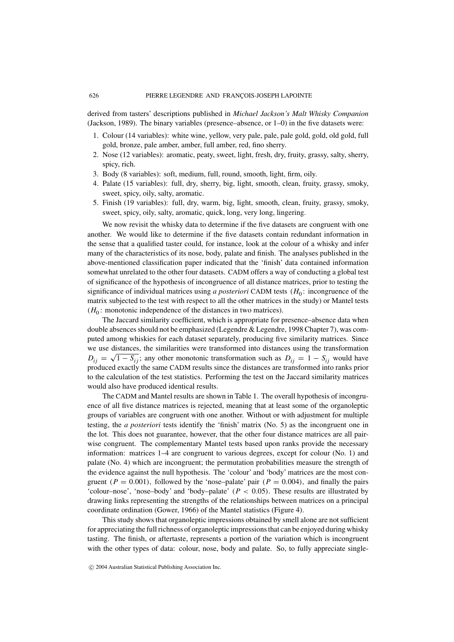derived from tasters' descriptions published in *Michael Jackson's Malt Whisky Companion* (Jackson, 1989). The binary variables (presence–absence, or 1–0) in the five datasets were:

- 1. Colour (14 variables): white wine, yellow, very pale, pale, pale gold, gold, old gold, full gold, bronze, pale amber, amber, full amber, red, fino sherry.
- 2. Nose (12 variables): aromatic, peaty, sweet, light, fresh, dry, fruity, grassy, salty, sherry, spicy, rich.
- 3. Body (8 variables): soft, medium, full, round, smooth, light, firm, oily.
- 4. Palate (15 variables): full, dry, sherry, big, light, smooth, clean, fruity, grassy, smoky, sweet, spicy, oily, salty, aromatic.
- 5. Finish (19 variables): full, dry, warm, big, light, smooth, clean, fruity, grassy, smoky, sweet, spicy, oily, salty, aromatic, quick, long, very long, lingering.

We now revisit the whisky data to determine if the five datasets are congruent with one another. We would like to determine if the five datasets contain redundant information in the sense that a qualified taster could, for instance, look at the colour of a whisky and infer many of the characteristics of its nose, body, palate and finish. The analyses published in the above-mentioned classification paper indicated that the 'finish' data contained information somewhat unrelated to the other four datasets. CADM offers a way of conducting a global test of significance of the hypothesis of incongruence of all distance matrices, prior to testing the significance of individual matrices using *a posteriori* CADM tests  $(H_0:$  incongruence of the matrix subjected to the test with respect to all the other matrices in the study) or Mantel tests  $(H_0: \text{monotonic independence of the distances in two matrices}).$ 

The Jaccard similarity coefficient, which is appropriate for presence–absence data when double absences should not be emphasized (Legendre & Legendre, 1998 Chapter 7), was computed among whiskies for each dataset separately, producing five similarity matrices. Since we use distances, the similarities were transformed into distances using the transformation  $D_{ii} = \sqrt{1 - S_{ii}}$ ; any other monotonic transformation such as  $D_{ii} = 1 - S_{ii}$  would have produced exactly the same CADM results since the distances are transformed into ranks prior to the calculation of the test statistics. Performing the test on the Jaccard similarity matrices would also have produced identical results.

The CADM and Mantel results are shown in Table 1. The overall hypothesis of incongruence of all five distance matrices is rejected, meaning that at least some of the organoleptic groups of variables are congruent with one another. Without or with adjustment for multiple testing, the *a posteriori* tests identify the 'finish' matrix (No. 5) as the incongruent one in the lot. This does not guarantee, however, that the other four distance matrices are all pairwise congruent. The complementary Mantel tests based upon ranks provide the necessary information: matrices 1–4 are congruent to various degrees, except for colour (No. 1) and palate (No. 4) which are incongruent; the permutation probabilities measure the strength of the evidence against the null hypothesis. The 'colour' and 'body' matrices are the most congruent ( $P = 0.001$ ), followed by the 'nose-palate' pair ( $P = 0.004$ ), and finally the pairs 'colour–nose', 'nose–body' and 'body–palate'  $(P < 0.05)$ . These results are illustrated by drawing links representing the strengths of the relationships between matrices on a principal coordinate ordination (Gower, 1966) of the Mantel statistics (Figure 4).

This study shows that organoleptic impressions obtained by smell alone are not sufficient for appreciating the full richness of organoleptic impressions that can be enjoyed during whisky tasting. The finish, or aftertaste, represents a portion of the variation which is incongruent with the other types of data: colour, nose, body and palate. So, to fully appreciate single-

 $\odot$  2004 Australian Statistical Publishing Association Inc.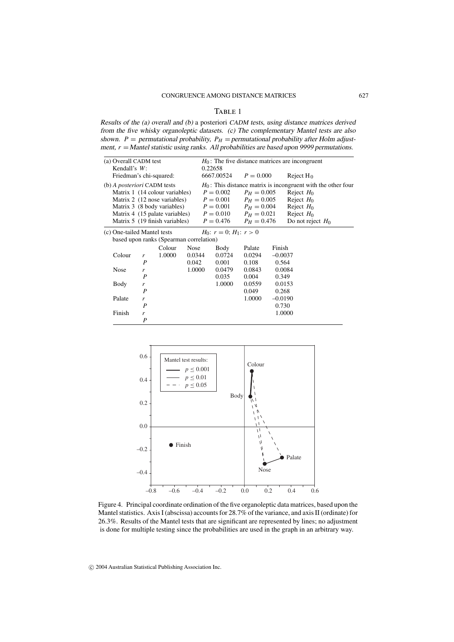# TABLE 1

Results of the (a) overall and (b) a posteriori CADM tests, using distance matrices derived from the five whisky organoleptic datasets. (c) The complementary Mantel tests are also shown.  $P =$  permutational probability,  $P_H =$  permutational probability after Holm adjustment,  $r =$  Mantel statistic using ranks. All probabilities are based upon 9999 permutations.

| (a) Overall CADM test                                    |             | $H_0$ : The five distance matrices are incongruent              |               |           |                     |  |
|----------------------------------------------------------|-------------|-----------------------------------------------------------------|---------------|-----------|---------------------|--|
| Kendall's $W$ :                                          |             | 0.22658                                                         |               |           |                     |  |
| Friedman's chi-squared:                                  |             | $6667.00524$ $P = 0.000$                                        |               |           | Reject $H_0$        |  |
| (b) A posteriori CADM tests                              |             | $H_0$ : This distance matrix is incongruent with the other four |               |           |                     |  |
| Matrix 1 (14 colour variables)                           |             | $P = 0.002$                                                     | $P_H = 0.005$ |           | Reject $H_0$        |  |
| Matrix 2 (12 nose variables) $P = 0.001$                 |             |                                                                 | $P_H = 0.005$ |           | Reject $H_0$        |  |
| Matrix 3 (8 body variables) $P = 0.001$ $P_H = 0.004$    |             |                                                                 |               |           | Reject $H_0$        |  |
| Matrix 4 (15 palate variables) $P = 0.010$ $PH = 0.021$  |             |                                                                 |               |           | Reject $H_0$        |  |
| Matrix 5 (19 finish variables) $P = 0.476$ $P_H = 0.476$ |             |                                                                 |               |           | Do not reject $H_0$ |  |
| (c) One-tailed Mantel tests                              |             | $H_0$ : $r = 0$ ; $H_1$ : $r > 0$                               |               |           |                     |  |
| based upon ranks (Spearman correlation)                  |             |                                                                 |               |           |                     |  |
| Colour                                                   | <b>Nose</b> | Body                                                            | Palate        | Finish    |                     |  |
| 1.0000<br>Colour<br>r                                    | 0.0344      | 0.0724                                                          | 0.0294        | $-0.0037$ |                     |  |
| $\boldsymbol{P}$                                         | 0.042       | 0.001                                                           | 0.108         | 0.564     |                     |  |
| <b>Nose</b><br>r                                         | 1.0000      | 0.0479                                                          | 0.0843        | 0.0084    |                     |  |
| $\boldsymbol{P}$                                         |             | 0.035                                                           | 0.004         | 0.349     |                     |  |
| Body<br>r                                                |             | 1.0000                                                          | 0.0559        | 0.0153    |                     |  |
| $\boldsymbol{P}$                                         |             |                                                                 | 0.049         | 0.268     |                     |  |
| Palate<br>r                                              |             |                                                                 | 1.0000        | $-0.0190$ |                     |  |
| $\boldsymbol{P}$                                         |             |                                                                 |               | 0.730     |                     |  |
| Finish<br>r                                              |             |                                                                 |               | 1.0000    |                     |  |
| $\overline{P}$                                           |             |                                                                 |               |           |                     |  |



Figure 4. Principal coordinate ordination of the five organoleptic data matrices, based upon the Mantel statistics. Axis I (abscissa) accounts for 28.7% of the variance, and axis II (ordinate) for 26.3%. Results of the Mantel tests that are significant are represented by lines; no adjustment is done for multiple testing since the probabilities are used in the graph in an arbitrary way.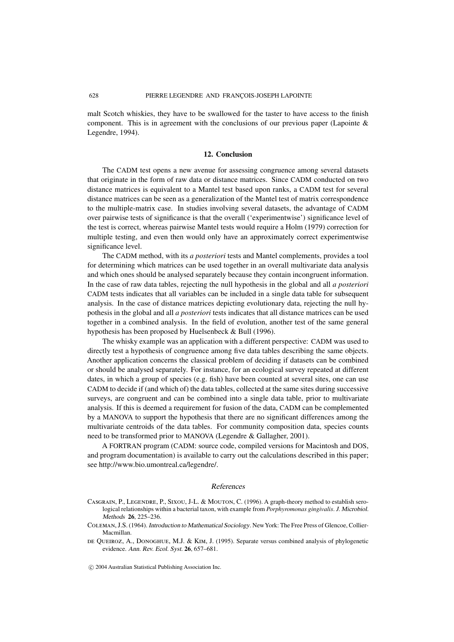malt Scotch whiskies, they have to be swallowed for the taster to have access to the finish component. This is in agreement with the conclusions of our previous paper (Lapointe  $\&$ Legendre, 1994).

## **12. Conclusion**

The CADM test opens a new avenue for assessing congruence among several datasets that originate in the form of raw data or distance matrices. Since CADM conducted on two distance matrices is equivalent to a Mantel test based upon ranks, a CADM test for several distance matrices can be seen as a generalization of the Mantel test of matrix correspondence to the multiple-matrix case. In studies involving several datasets, the advantage of CADM over pairwise tests of significance is that the overall ('experimentwise') significance level of the test is correct, whereas pairwise Mantel tests would require a Holm (1979) correction for multiple testing, and even then would only have an approximately correct experimentwise significance level.

The CADM method, with its *a posteriori* tests and Mantel complements, provides a tool for determining which matrices can be used together in an overall multivariate data analysis and which ones should be analysed separately because they contain incongruent information. In the case of raw data tables, rejecting the null hypothesis in the global and all *a posteriori* CADM tests indicates that all variables can be included in a single data table for subsequent analysis. In the case of distance matrices depicting evolutionary data, rejecting the null hypothesis in the global and all *a posteriori* tests indicates that all distance matrices can be used together in a combined analysis. In the field of evolution, another test of the same general hypothesis has been proposed by Huelsenbeck & Bull (1996).

The whisky example was an application with a different perspective: CADM was used to directly test a hypothesis of congruence among five data tables describing the same objects. Another application concerns the classical problem of deciding if datasets can be combined or should be analysed separately. For instance, for an ecological survey repeated at different dates, in which a group of species (e.g. fish) have been counted at several sites, one can use CADM to decide if (and which of) the data tables, collected at the same sites during successive surveys, are congruent and can be combined into a single data table, prior to multivariate analysis. If this is deemed a requirement for fusion of the data, CADM can be complemented by a MANOVA to support the hypothesis that there are no significant differences among the multivariate centroids of the data tables. For community composition data, species counts need to be transformed prior to MANOVA (Legendre & Gallagher, 2001).

A FORTRAN program (CADM: source code, compiled versions for Macintosh and DOS, and program documentation) is available to carry out the calculations described in this paper; see http://www.bio.umontreal.ca/legendre/.

#### References

- Casgrain, P., Legendre, P., Sixou, J-L. & Mouton, C. (1996). A graph-theory method to establish serological relationships within a bacterial taxon, with example from *Porphyromonas gingivalis*. J. Microbiol. Methods **26**, 225–236.
- Coleman, J.S. (1964). Introduction to Mathematical Sociology. NewYork: The Free Press of Glencoe, Collier-Macmillan.
- DE QUEIROZ, A., DONOGHUE, M.J. & KIM, J. (1995). Separate versus combined analysis of phylogenetic evidence. Ann. Rev. Ecol. Syst. **26**, 657–681.

<sup>-</sup>c 2004 Australian Statistical Publishing Association Inc.